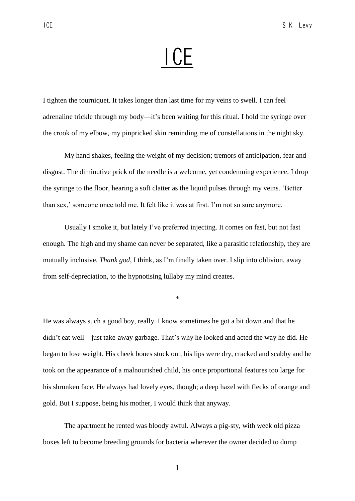# **ICE**

I tighten the tourniquet. It takes longer than last time for my veins to swell. I can feel adrenaline trickle through my body—it's been waiting for this ritual. I hold the syringe over the crook of my elbow, my pinpricked skin reminding me of constellations in the night sky.

My hand shakes, feeling the weight of my decision; tremors of anticipation, fear and disgust. The diminutive prick of the needle is a welcome, yet condemning experience. I drop the syringe to the floor, hearing a soft clatter as the liquid pulses through my veins. 'Better than sex,' someone once told me. It felt like it was at first. I'm not so sure anymore.

Usually I smoke it, but lately I've preferred injecting. It comes on fast, but not fast enough. The high and my shame can never be separated, like a parasitic relationship, they are mutually inclusive. *Thank god*, I think, as I'm finally taken over. I slip into oblivion, away from self-depreciation, to the hypnotising lullaby my mind creates.

\*

He was always such a good boy, really. I know sometimes he got a bit down and that he didn't eat well—just take-away garbage. That's why he looked and acted the way he did. He began to lose weight. His cheek bones stuck out, his lips were dry, cracked and scabby and he took on the appearance of a malnourished child, his once proportional features too large for his shrunken face. He always had lovely eyes, though; a deep hazel with flecks of orange and gold. But I suppose, being his mother, I would think that anyway.

The apartment he rented was bloody awful. Always a pig-sty, with week old pizza boxes left to become breeding grounds for bacteria wherever the owner decided to dump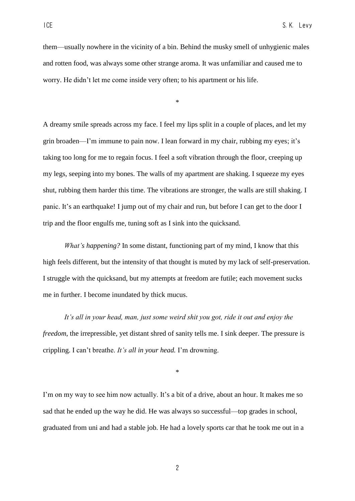them—usually nowhere in the vicinity of a bin. Behind the musky smell of unhygienic males and rotten food, was always some other strange aroma. It was unfamiliar and caused me to worry. He didn't let me come inside very often; to his apartment or his life.

\*

A dreamy smile spreads across my face. I feel my lips split in a couple of places, and let my grin broaden—I'm immune to pain now. I lean forward in my chair, rubbing my eyes; it's taking too long for me to regain focus. I feel a soft vibration through the floor, creeping up my legs, seeping into my bones. The walls of my apartment are shaking. I squeeze my eyes shut, rubbing them harder this time. The vibrations are stronger, the walls are still shaking. I panic. It's an earthquake! I jump out of my chair and run, but before I can get to the door I trip and the floor engulfs me, tuning soft as I sink into the quicksand.

*What's happening?* In some distant, functioning part of my mind, I know that this high feels different, but the intensity of that thought is muted by my lack of self-preservation. I struggle with the quicksand, but my attempts at freedom are futile; each movement sucks me in further. I become inundated by thick mucus.

*It's all in your head, man, just some weird shit you got, ride it out and enjoy the freedom*, the irrepressible, yet distant shred of sanity tells me. I sink deeper. The pressure is crippling. I can't breathe. *It's all in your head.* I'm drowning.

\*

I'm on my way to see him now actually. It's a bit of a drive, about an hour. It makes me so sad that he ended up the way he did. He was always so successful—top grades in school, graduated from uni and had a stable job. He had a lovely sports car that he took me out in a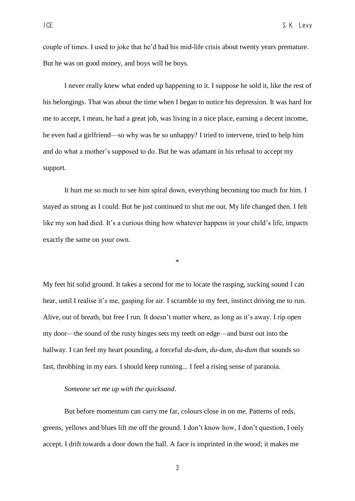couple of times. I used to joke that he'd had his mid-life crisis about twenty years premature. But he was on good money, and boys will be boys.

I never really knew what ended up happening to it. I suppose he sold it, like the rest of his belongings. That was about the time when I began to notice his depression. It was hard for me to accept, I mean, he had a great job, was living in a nice place, earning a decent income, he even had a girlfriend—so why was he so unhappy? I tried to intervene, tried to help him and do what a mother's supposed to do. But he was adamant in his refusal to accept my support.

It hurt me so much to see him spiral down, everything becoming too much for him. I stayed as strong as I could. But he just continued to shut me out. My life changed then. I felt like my son had died. It's a curious thing how whatever happens in your child's life, impacts exactly the same on your own.

\*

My feet hit solid ground. It takes a second for me to locate the rasping, sucking sound I can hear, until I realise it's me, gasping for air. I scramble to my feet, instinct driving me to run. Alive, out of breath, but free I run. It doesn't matter where, as long as it's away. I rip open my door—the sound of the rusty hinges sets my teeth on edge—and burst out into the hallway. I can feel my heart pounding, a forceful *du-dum, du-dum, du-dum* that sounds so fast, throbbing in my ears. I should keep running... I feel a rising sense of paranoia.

## *Someone set me up with the quicksand*.

But before momentum can carry me far, colours close in on me. Patterns of reds, greens, yellows and blues lift me off the ground. I don't know how, I don't question, I only accept. I drift towards a door down the hall. A face is imprinted in the wood; it makes me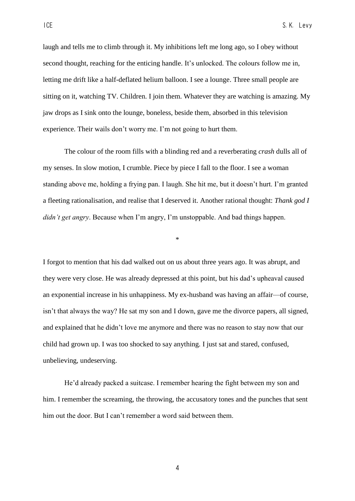laugh and tells me to climb through it. My inhibitions left me long ago, so I obey without second thought, reaching for the enticing handle. It's unlocked. The colours follow me in, letting me drift like a half-deflated helium balloon. I see a lounge. Three small people are sitting on it, watching TV. Children. I join them. Whatever they are watching is amazing. My jaw drops as I sink onto the lounge, boneless, beside them, absorbed in this television experience. Their wails don't worry me. I'm not going to hurt them.

The colour of the room fills with a blinding red and a reverberating *crash* dulls all of my senses. In slow motion, I crumble. Piece by piece I fall to the floor. I see a woman standing above me, holding a frying pan. I laugh. She hit me, but it doesn't hurt. I'm granted a fleeting rationalisation, and realise that I deserved it. Another rational thought: *Thank god I didn't get angry*. Because when I'm angry, I'm unstoppable. And bad things happen.

\*

I forgot to mention that his dad walked out on us about three years ago. It was abrupt, and they were very close. He was already depressed at this point, but his dad's upheaval caused an exponential increase in his unhappiness. My ex-husband was having an affair—of course, isn't that always the way? He sat my son and I down, gave me the divorce papers, all signed, and explained that he didn't love me anymore and there was no reason to stay now that our child had grown up. I was too shocked to say anything. I just sat and stared, confused, unbelieving, undeserving.

He'd already packed a suitcase. I remember hearing the fight between my son and him. I remember the screaming, the throwing, the accusatory tones and the punches that sent him out the door. But I can't remember a word said between them.

4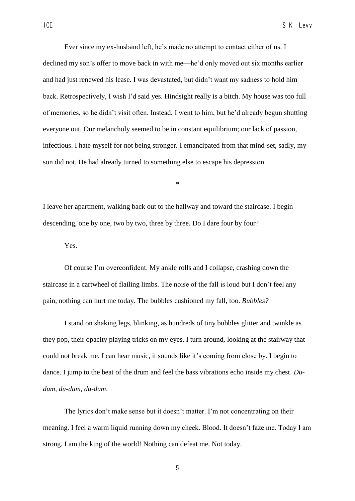Ever since my ex-husband left, he's made no attempt to contact either of us. I declined my son's offer to move back in with me—he'd only moved out six months earlier and had just renewed his lease. I was devastated, but didn't want my sadness to hold him back. Retrospectively, I wish I'd said yes. Hindsight really is a bitch. My house was too full of memories, so he didn't visit often. Instead, I went to him, but he'd already begun shutting everyone out. Our melancholy seemed to be in constant equilibrium; our lack of passion, infectious. I hate myself for not being stronger. I emancipated from that mind-set, sadly, my son did not. He had already turned to something else to escape his depression.

I leave her apartment, walking back out to the hallway and toward the staircase. I begin descending, one by one, two by two, three by three. Do I dare four by four?

\*

Yes.

Of course I'm overconfident. My ankle rolls and I collapse, crashing down the staircase in a cartwheel of flailing limbs. The noise of the fall is loud but I don't feel any pain, nothing can hurt me today. The bubbles cushioned my fall, too. *Bubbles?*

I stand on shaking legs, blinking, as hundreds of tiny bubbles glitter and twinkle as they pop, their opacity playing tricks on my eyes. I turn around, looking at the stairway that could not break me. I can hear music, it sounds like it's coming from close by. I begin to dance. I jump to the beat of the drum and feel the bass vibrations echo inside my chest. *Dudum, du-dum, du-dum*.

The lyrics don't make sense but it doesn't matter. I'm not concentrating on their meaning. I feel a warm liquid running down my cheek. Blood. It doesn't faze me. Today I am strong. I am the king of the world! Nothing can defeat me. Not today.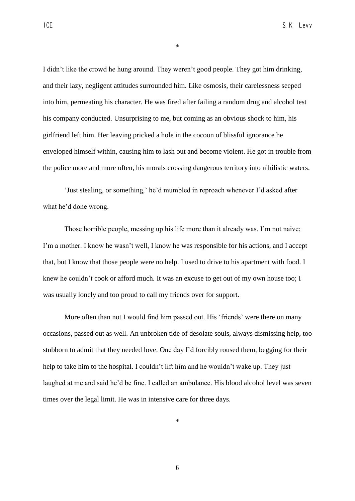I didn't like the crowd he hung around. They weren't good people. They got him drinking, and their lazy, negligent attitudes surrounded him. Like osmosis, their carelessness seeped into him, permeating his character. He was fired after failing a random drug and alcohol test his company conducted. Unsurprising to me, but coming as an obvious shock to him, his girlfriend left him. Her leaving pricked a hole in the cocoon of blissful ignorance he enveloped himself within, causing him to lash out and become violent. He got in trouble from the police more and more often, his morals crossing dangerous territory into nihilistic waters.

\*

'Just stealing, or something,' he'd mumbled in reproach whenever I'd asked after what he'd done wrong.

Those horrible people, messing up his life more than it already was. I'm not naive; I'm a mother. I know he wasn't well, I know he was responsible for his actions, and I accept that, but I know that those people were no help. I used to drive to his apartment with food. I knew he couldn't cook or afford much. It was an excuse to get out of my own house too; I was usually lonely and too proud to call my friends over for support.

More often than not I would find him passed out. His 'friends' were there on many occasions, passed out as well. An unbroken tide of desolate souls, always dismissing help, too stubborn to admit that they needed love. One day I'd forcibly roused them, begging for their help to take him to the hospital. I couldn't lift him and he wouldn't wake up. They just laughed at me and said he'd be fine. I called an ambulance. His blood alcohol level was seven times over the legal limit. He was in intensive care for three days.

\*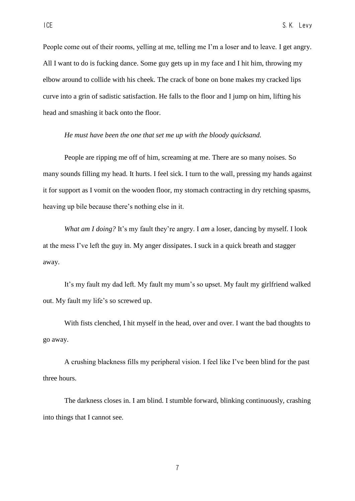People come out of their rooms, yelling at me, telling me I'm a loser and to leave. I get angry. All I want to do is fucking dance. Some guy gets up in my face and I hit him, throwing my elbow around to collide with his cheek. The crack of bone on bone makes my cracked lips curve into a grin of sadistic satisfaction. He falls to the floor and I jump on him, lifting his head and smashing it back onto the floor.

## *He must have been the one that set me up with the bloody quicksand.*

People are ripping me off of him, screaming at me. There are so many noises. So many sounds filling my head. It hurts. I feel sick. I turn to the wall, pressing my hands against it for support as I vomit on the wooden floor, my stomach contracting in dry retching spasms, heaving up bile because there's nothing else in it.

*What am I doing?* It's my fault they're angry. I *am* a loser, dancing by myself. I look at the mess I've left the guy in. My anger dissipates. I suck in a quick breath and stagger away.

It's my fault my dad left. My fault my mum's so upset. My fault my girlfriend walked out. My fault my life's so screwed up.

With fists clenched, I hit myself in the head, over and over. I want the bad thoughts to go away.

A crushing blackness fills my peripheral vision. I feel like I've been blind for the past three hours.

The darkness closes in. I am blind. I stumble forward, blinking continuously, crashing into things that I cannot see.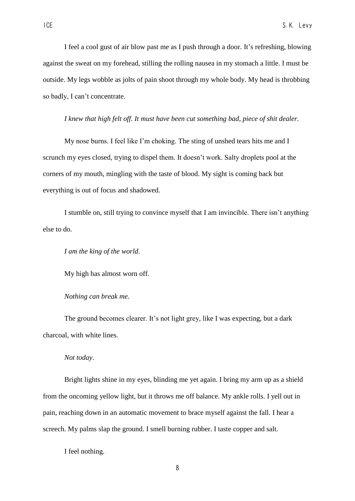I feel a cool gust of air blow past me as I push through a door. It's refreshing, blowing against the sweat on my forehead, stilling the rolling nausea in my stomach a little. I must be outside. My legs wobble as jolts of pain shoot through my whole body. My head is throbbing so badly, I can't concentrate.

*I knew that high felt off. It must have been cut something bad, piece of shit dealer.* 

My nose burns. I feel like I'm choking. The sting of unshed tears hits me and I scrunch my eyes closed, trying to dispel them. It doesn't work. Salty droplets pool at the corners of my mouth, mingling with the taste of blood. My sight is coming back but everything is out of focus and shadowed.

I stumble on, still trying to convince myself that I am invincible. There isn't anything else to do.

*I am the king of the world*.

My high has almost worn off.

*Nothing can break me.* 

The ground becomes clearer. It's not light grey, like I was expecting, but a dark charcoal, with white lines.

### *Not today*.

Bright lights shine in my eyes, blinding me yet again. I bring my arm up as a shield from the oncoming yellow light, but it throws me off balance. My ankle rolls. I yell out in pain, reaching down in an automatic movement to brace myself against the fall. I hear a screech. My palms slap the ground. I smell burning rubber. I taste copper and salt.

I feel nothing.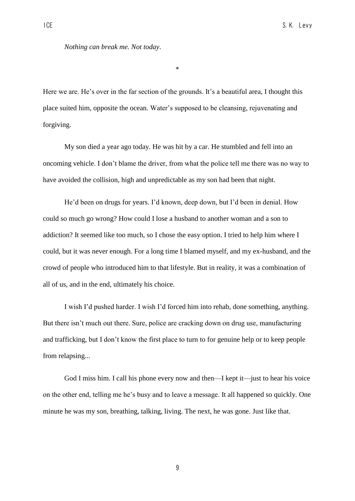### *Nothing can break me. Not today*.

\*

Here we are. He's over in the far section of the grounds. It's a beautiful area, I thought this place suited him, opposite the ocean. Water's supposed to be cleansing, rejuvenating and forgiving.

My son died a year ago today. He was hit by a car. He stumbled and fell into an oncoming vehicle. I don't blame the driver, from what the police tell me there was no way to have avoided the collision, high and unpredictable as my son had been that night.

He'd been on drugs for years. I'd known, deep down, but I'd been in denial. How could so much go wrong? How could I lose a husband to another woman and a son to addiction? It seemed like too much, so I chose the easy option. I tried to help him where I could, but it was never enough. For a long time I blamed myself, and my ex-husband, and the crowd of people who introduced him to that lifestyle. But in reality, it was a combination of all of us, and in the end, ultimately his choice.

I wish I'd pushed harder. I wish I'd forced him into rehab, done something, anything. But there isn't much out there. Sure, police are cracking down on drug use, manufacturing and trafficking, but I don't know the first place to turn to for genuine help or to keep people from relapsing...

God I miss him. I call his phone every now and then—I kept it—just to hear his voice on the other end, telling me he's busy and to leave a message. It all happened so quickly. One minute he was my son, breathing, talking, living. The next, he was gone. Just like that.

9